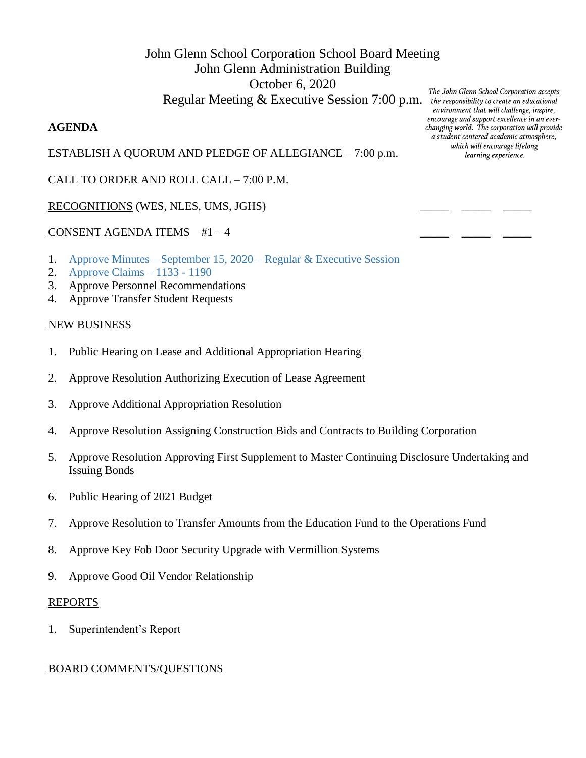# John Glenn School Corporation School Board Meeting John Glenn Administration Building October 6, 2020 Regular Meeting & Executive Session 7:00 p.m. the responsibility to create an educational

### **AGENDA**

The John Glenn School Corporation accepts environment that will challenge, inspire, encourage and support excellence in an everchanging world. The corporation will provide a student-centered academic atmosphere, which will encourage lifelong learning experience.

#### ESTABLISH A QUORUM AND PLEDGE OF ALLEGIANCE – 7:00 p.m.

CALL TO ORDER AND ROLL CALL – 7:00 P.M.

#### RECOGNITIONS (WES, NLES, UMS, JGHS)

#### CONSENT AGENDA ITEMS  $#1-4$

- 1. Approve Minutes September 15, 2020 Regular & Executive Session
- 2. Approve Claims 1133 1190
- 3. Approve Personnel Recommendations
- 4. Approve Transfer Student Requests

#### NEW BUSINESS

- 1. Public Hearing on Lease and Additional Appropriation Hearing
- 2. Approve Resolution Authorizing Execution of Lease Agreement
- 3. Approve Additional Appropriation Resolution
- 4. Approve Resolution Assigning Construction Bids and Contracts to Building Corporation
- 5. Approve Resolution Approving First Supplement to Master Continuing Disclosure Undertaking and Issuing Bonds
- 6. Public Hearing of 2021 Budget
- 7. Approve Resolution to Transfer Amounts from the Education Fund to the Operations Fund
- 8. Approve Key Fob Door Security Upgrade with Vermillion Systems
- 9. Approve Good Oil Vendor Relationship

#### REPORTS

1. Superintendent's Report

#### BOARD COMMENTS/QUESTIONS